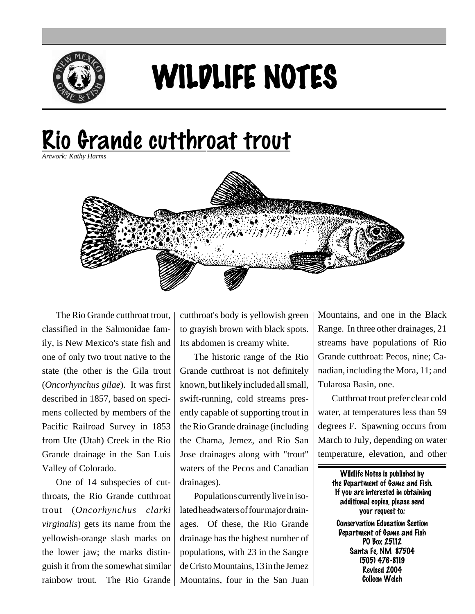

## WILDLIFE NOTES

## <u>Rio Grande cutthroat trout</u>

*Artwork: Kathy Harms*



The Rio Grande cutthroat trout, classified in the Salmonidae family, is New Mexico's state fish and one of only two trout native to the state (the other is the Gila trout (*Oncorhynchus gilae*). It was first described in 1857, based on specimens collected by members of the Pacific Railroad Survey in 1853 from Ute (Utah) Creek in the Rio Grande drainage in the San Luis Valley of Colorado.

One of 14 subspecies of cutthroats, the Rio Grande cutthroat trout (*Oncorhynchus clarki virginalis*) gets its name from the yellowish-orange slash marks on the lower jaw; the marks distinguish it from the somewhat similar rainbow trout. The Rio Grande Mountains, four in the San Juan

cutthroat's body is yellowish green to grayish brown with black spots. Its abdomen is creamy white.

The historic range of the Rio Grande cutthroat is not definitely known, but likely included all small, swift-running, cold streams presently capable of supporting trout in the Rio Grande drainage (including the Chama, Jemez, and Rio San Jose drainages along with "trout" waters of the Pecos and Canadian drainages).

Populations currently live in isolated headwaters of four major drainages. Of these, the Rio Grande drainage has the highest number of populations, with 23 in the Sangre de Cristo Mountains, 13 in the Jemez

Mountains, and one in the Black Range. In three other drainages, 21 streams have populations of Rio Grande cutthroat: Pecos, nine; Canadian, including the Mora, 11; and Tularosa Basin, one.

Cutthroat trout prefer clear cold water, at temperatures less than 59 degrees F. Spawning occurs from March to July, depending on water temperature, elevation, and other

> Wildlife Notes is published by the Department of Game and Fish. If you are interested in obtaining additional copies, please send your request to: Conservation Education Section Department of Game and Fish PO Box 25112 Santa Fe, NM 87504 (505) 476-8119 Revised 2004 Colleen Welch